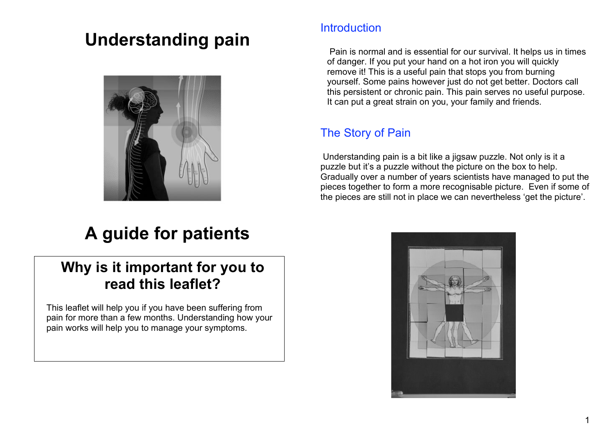# **Understanding pain**



## **Introduction**

 Pain is normal and is essential for our survival. It helps us in times of danger. If you put your hand on a hot iron you will quickly remove it! This is a useful pain that stops you from burning yourself. Some pains however just do not get better. Doctors call this persistent or chronic pain. This pain serves no useful purpose. It can put a great strain on you, your family and friends.

## The Story of Pain

 Understanding pain is a bit like a jigsaw puzzle. Not only is it a puzzle but it's a puzzle without the picture on the box to help. Gradually over a number of years scientists have managed to put the pieces together to form a more recognisable picture. Even if some of the pieces are still not in place we can nevertheless 'get the picture'.

# **A guide for patients**

## **Why is it important for you to read this leaflet?**

This leaflet will help you if you have been suffering from pain for more than a few months. Understanding how your pain works will help you to manage your symptoms.

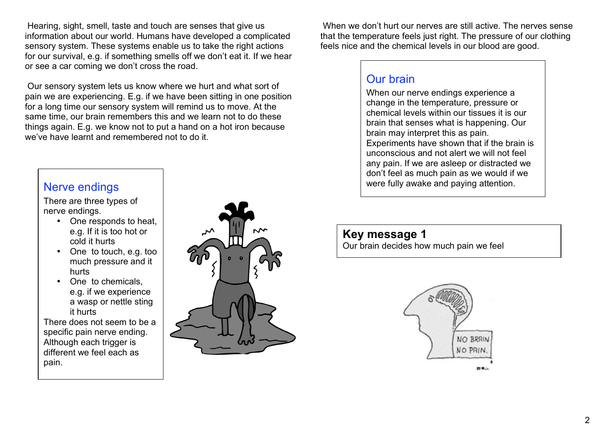Hearing, sight, smell, taste and touch are senses that give us information about our world. Humans have developed a complicated sensory system. These systems enable us to take the right actions for our survival, e.g. if something smells off we don't eat it. If we hear or see a car coming we don't cross the road.

 Our sensory system lets us know where we hurt and what sort of pain we are experiencing. E.g. if we have been sitting in one position for a long time our sensory system will remind us to move. At the same time, our brain remembers this and we learn not to do these things again. E.g. we know not to put a hand on a hot iron because we've have learnt and remembered not to do it.

There are three types of nerve endings.

- One responds to heat, e.g. If it is too hot or cold it hurts
- One to touch, e.g. too much pressure and it hurts
- One to chemicals, e.g. if we experience a wasp or nettle sting it hurts

There does not seem to be a specific pain nerve ending. Although each trigger is different we feel each as pain.



 When we don't hurt our nerves are still active. The nerves sense that the temperature feels just right. The pressure of our clothing feels nice and the chemical levels in our blood are good.

#### Our brain

When our nerve endings experience a change in the temperature, pressure or chemical levels within our tissues it is our brain that senses what is happening. Our brain may interpret this as pain. Experiments have shown that if the brain is unconscious and not alert we will not feel any pain. If we are asleep or distracted we don't feel as much pain as we would if we Nerve endings and the state of the state of the state of the state of the state of the state of the state of the state of the state of the state of the state of the state of the state of the state of the state of the state

**Key message 1** Our brain decides how much pain we feel

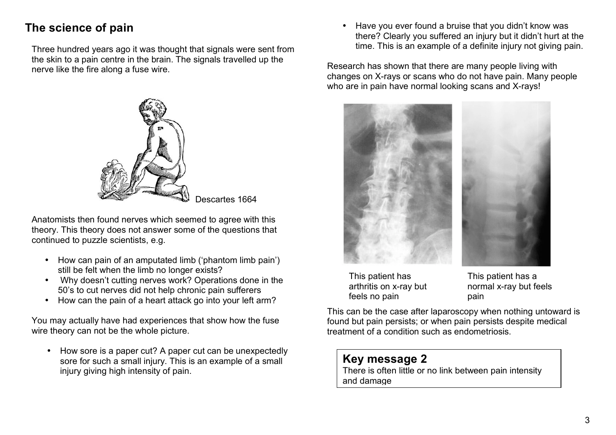## **The science of pain**

Three hundred years ago it was thought that signals were sent from the skin to a pain centre in the brain. The signals travelled up the nerve like the fire along a fuse wire.



Descartes 1664

Anatomists then found nerves which seemed to agree with this theory. This theory does not answer some of the questions that continued to puzzle scientists, e.g.

- How can pain of an amputated limb ('phantom limb pain') still be felt when the limb no longer exists?
- Why doesn't cutting nerves work? Operations done in the 50's to cut nerves did not help chronic pain sufferers
- How can the pain of a heart attack go into your left arm?

You may actually have had experiences that show how the fuse wire theory can not be the whole picture.

• How sore is a paper cut? A paper cut can be unexpectedly sore for such a small injury. This is an example of a small injury giving high intensity of pain.

• Have you ever found a bruise that you didn't know was there? Clearly you suffered an injury but it didn't hurt at the time. This is an example of a definite injury not giving pain.

Research has shown that there are many people living with changes on X-rays or scans who do not have pain. Many people who are in pain have normal looking scans and X-rays!



This patient has arthritis on x-ray but feels no pain

This patient has a normal x-ray but feels pain

This can be the case after laparoscopy when nothing untoward is found but pain persists; or when pain persists despite medical treatment of a condition such as endometriosis.

#### **Key message 2**  There is often little or no link between pain intensity

and damage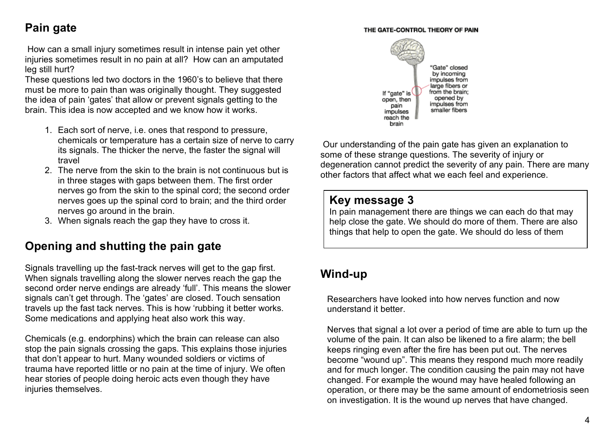#### THE GATE-CONTROL THEORY OF PAIN

## **Pain gate**

 How can a small injury sometimes result in intense pain yet other injuries sometimes result in no pain at all? How can an amputated leg still hurt?

These questions led two doctors in the 1960's to believe that there must be more to pain than was originally thought. They suggested the idea of pain 'gates' that allow or prevent signals getting to the brain. This idea is now accepted and we know how it works.

- 1. Each sort of nerve, i.e. ones that respond to pressure, chemicals or temperature has a certain size of nerve to carry its signals. The thicker the nerve, the faster the signal will travel
- 2. The nerve from the skin to the brain is not continuous but is in three stages with gaps between them. The first order nerves go from the skin to the spinal cord; the second order nerves goes up the spinal cord to brain; and the third order nerves go around in the brain.
- 3. When signals reach the gap they have to cross it.

## **Opening and shutting the pain gate**

Signals travelling up the fast-track nerves will get to the gap first. When signals travelling along the slower nerves reach the gap the second order nerve endings are already 'full'. This means the slower signals can't get through. The 'gates' are closed. Touch sensation travels up the fast tack nerves. This is how 'rubbing it better works. Some medications and applying heat also work this way.

Chemicals (e.g. endorphins) which the brain can release can also stop the pain signals crossing the gaps. This explains those injuries that don't appear to hurt. Many wounded soldiers or victims of trauma have reported little or no pain at the time of injury. We often hear stories of people doing heroic acts even though they have injuries themselves.



 Our understanding of the pain gate has given an explanation to some of these strange questions. The severity of injury or degeneration cannot predict the severity of any pain. There are many other factors that affect what we each feel and experience.

### **Key message 3**

In pain management there are things we can each do that may help close the gate. We should do more of them. There are also things that help to open the gate. We should do less of them

#### **Wind-up "**

Researchers have looked into how nerves function and now understand it better.

Nerves that signal a lot over a period of time are able to turn up the volume of the pain. It can also be likened to a fire alarm; the bell keeps ringing even after the fire has been put out. The nerves become "wound up". This means they respond much more readily and for much longer. The condition causing the pain may not have changed. For example the wound may have healed following an operation, or there may be the same amount of endometriosis seen on investigation. It is the wound up nerves that have changed.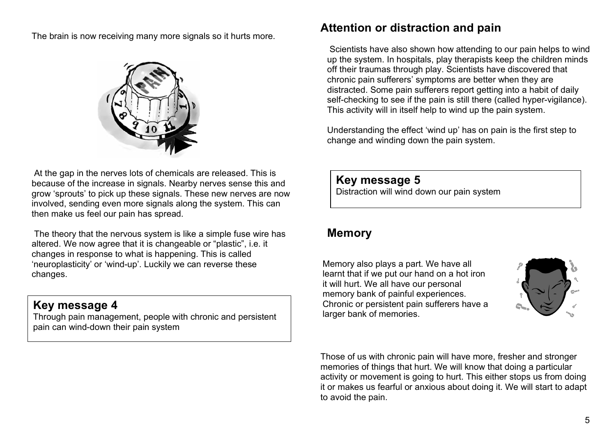The brain is now receiving many more signals so it hurts more.



 At the gap in the nerves lots of chemicals are released. This is because of the increase in signals. Nearby nerves sense this and grow 'sprouts' to pick up these signals. These new nerves are now involved, sending even more signals along the system. This can then make us feel our pain has spread.

 The theory that the nervous system is like a simple fuse wire has altered. We now agree that it is changeable or "plastic", i.e. it changes in response to what is happening. This is called 'neuroplasticity' or 'wind-up'. Luckily we can reverse these changes.

**Key message 4** Chronic or persistent pain<br>Through pain management, people with chronic and persistent and persistent larger bank of memories. pain can wind-down their pain system

## **Attention or distraction and pain**

 Scientists have also shown how attending to our pain helps to wind up the system. In hospitals, play therapists keep the children minds off their traumas through play. Scientists have discovered that chronic pain sufferers' symptoms are better when they are distracted. Some pain sufferers report getting into a habit of daily self-checking to see if the pain is still there (called hyper-vigilance). This activity will in itself help to wind up the pain system.

Understanding the effect 'wind up' has on pain is the first step to change and winding down the pain system.

#### **Key message 5**

Distraction will wind down our pain system

### **Memory**

larger bank of memories. Memory also plays a part. We have all learnt that if we put our hand on a hot iron it will hurt. We all have our personal memory bank of painful experiences. Chronic or persistent pain sufferers have a



Those of us with chronic pain will have more, fresher and stronger memories of things that hurt. We will know that doing a particular activity or movement is going to hurt. This either stops us from doing it or makes us fearful or anxious about doing it. We will start to adapt to avoid the pain.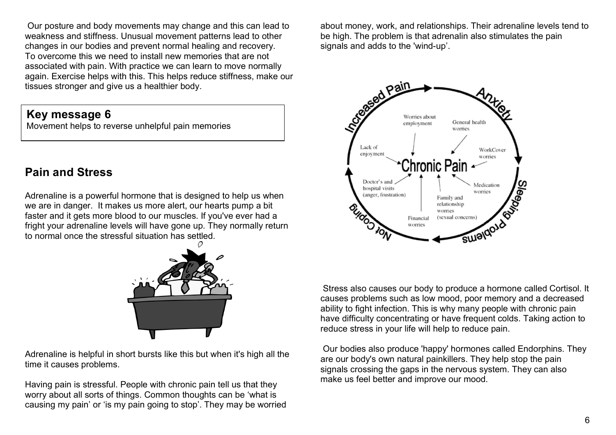Our posture and body movements may change and this can lead to weakness and stiffness. Unusual movement patterns lead to other changes in our bodies and prevent normal healing and recovery. To overcome this we need to install new memories that are not associated with pain. With practice we can learn to move normally again. Exercise helps with this. This helps reduce stiffness, make our tissues stronger and give us a healthier body.

**Key message 6** 

Movement helps to reverse unhelpful pain memories

## **Pain and Stress**

Adrenaline is a powerful hormone that is designed to help us when we are in danger. It makes us more alert, our hearts pump a bit faster and it gets more blood to our muscles. If you've ever had a fright your adrenaline levels will have gone up. They normally return to normal once the stressful situation has settled.



Adrenaline is helpful in short bursts like this but when it's high all the time it causes problems.

Having pain is stressful. People with chronic pain tell us that they worry about all sorts of things. Common thoughts can be 'what is causing my pain' or 'is my pain going to stop'. They may be worried about money, work, and relationships. Their adrenaline levels tend to be high. The problem is that adrenalin also stimulates the pain signals and adds to the 'wind-up'.



 Stress also causes our body to produce a hormone called Cortisol. It causes problems such as low mood, poor memory and a decreased ability to fight infection. This is why many people with chronic pain have difficulty concentrating or have frequent colds. Taking action to reduce stress in your life will help to reduce pain.

 Our bodies also produce 'happy' hormones called Endorphins. They are our body's own natural painkillers. They help stop the pain signals crossing the gaps in the nervous system. They can also make us feel better and improve our mood.